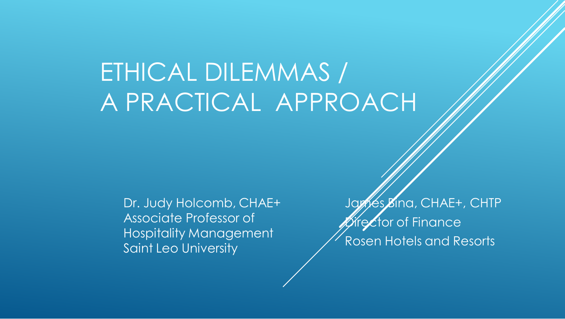### ETHICAL DILEMMAS / A PRACTICAL APPROACH

Dr. Judy Holcomb, CHAE+ Associate Professor of Hospitality Management Saint Leo University

James Bina, CHAE+, CHTP **Director of Finance** Rosen Hotels and Resorts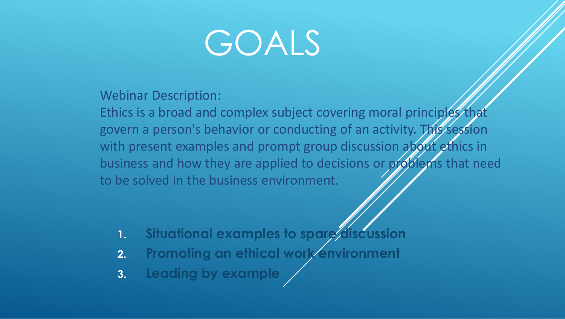# GOALS

Webinar Description:

Ethics is a broad and complex subject covering moral principles that govern a person's behavior or conducting of an activity. This session with present examples and prompt group discussion about ethics in business and how they are applied to decisions or problems that need to be solved in the business environment.

- **1. Situational examples to spare discussion**
- **2. Promoting an ethical work environment**
- **3. Leading by example**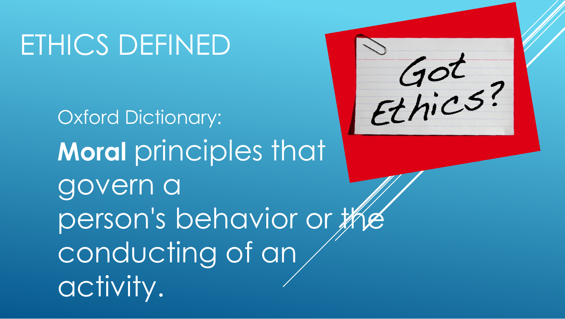### ETHICS DEFINED

Oxford Dictionary: **Moral** principles that govern a person's behavior or the conducting of an activity.

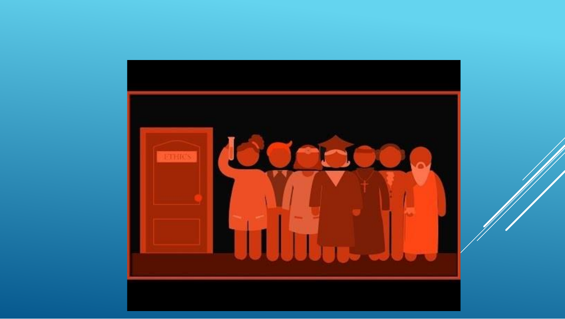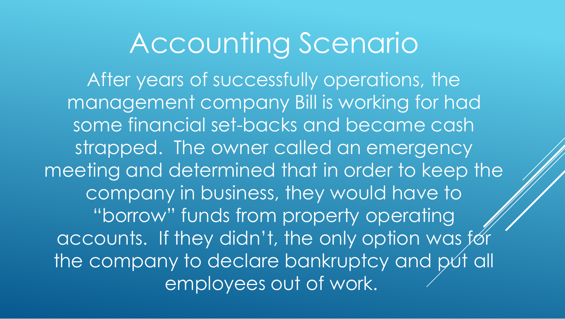### Accounting Scenario

After years of successfully operations, the management company Bill is working for had some financial set-backs and became cash strapped. The owner called an emergency meeting and determined that in order to keep the company in business, they would have to "borrow" funds from property operating accounts. If they didn't, the only option was for the company to declare bankruptcy and put all employees out of work.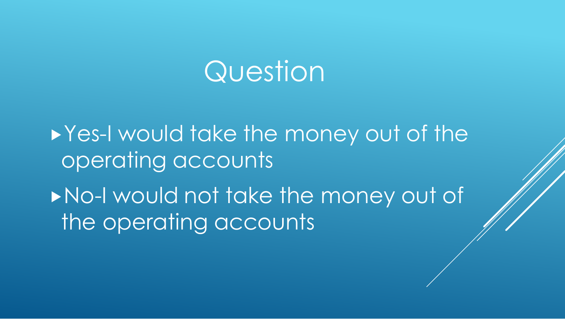### Question

▶Yes-I would take the money out of the operating accounts

No-I would not take the money out of the operating accounts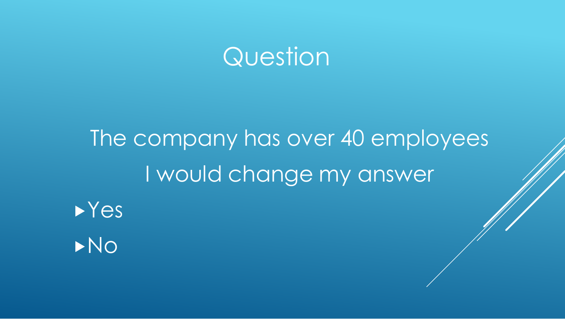

# The company has over 40 employees I would change my answer

Yes  $N<sub>O</sub>$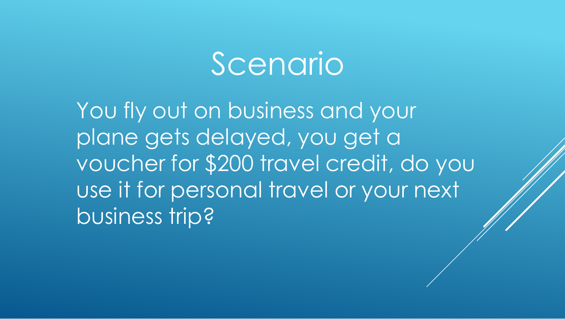## Scenario

You fly out on business and your plane gets delayed, you get a voucher for \$200 travel credit, do you use it for personal travel or your next business trip?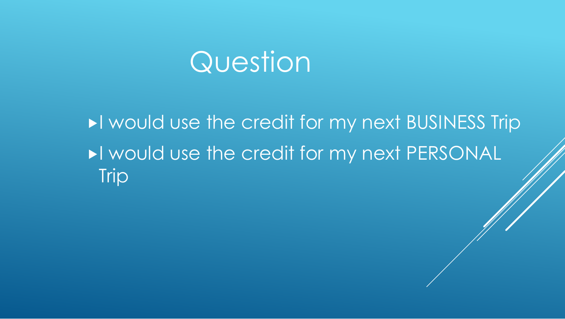### Question

I would use the credit for my next BUSINESS Trip I would use the credit for my next PERSONAL **Trip**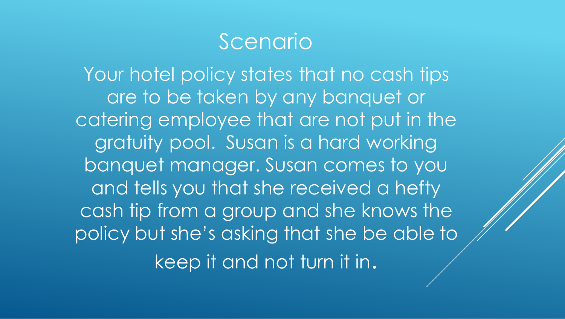#### Scenario

Your hotel policy states that no cash tips are to be taken by any banquet or catering employee that are not put in the gratuity pool. Susan is a hard working banquet manager. Susan comes to you and tells you that she received a hefty cash tip from a group and she knows the policy but she's asking that she be able to keep it and not turn it in.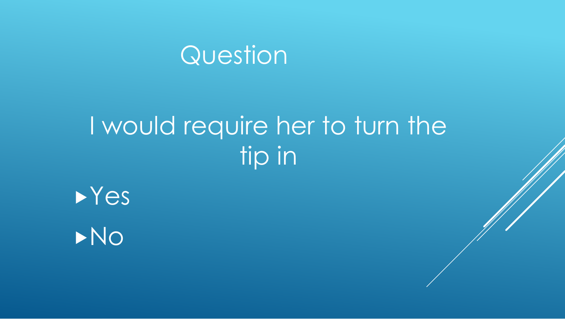

### I would require her to turn the tip in

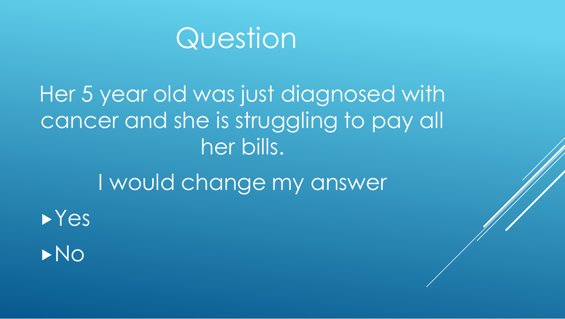

Her 5 year old was just diagnosed with cancer and she is struggling to pay all her bills.

I would change my answer

Yes No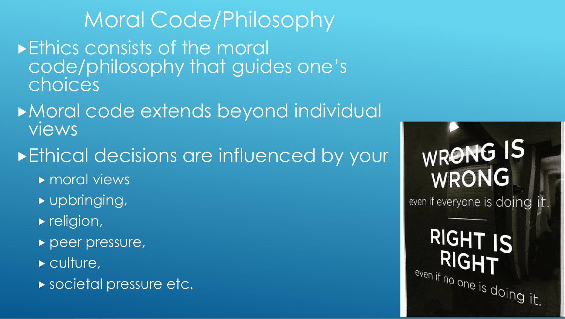#### Moral Code/Philosophy

- **Ethics consists of the moral** code/philosophy that guides one's choices
- Moral code extends beyond individual views
- **Ethical decisions are influenced by your** 
	- ▶ moral views
	- **Department of the Upper**
	- $\blacktriangleright$  religion,
	- $\triangleright$  peer pressure,
	- ▶ culture,
	- societal pressure etc.

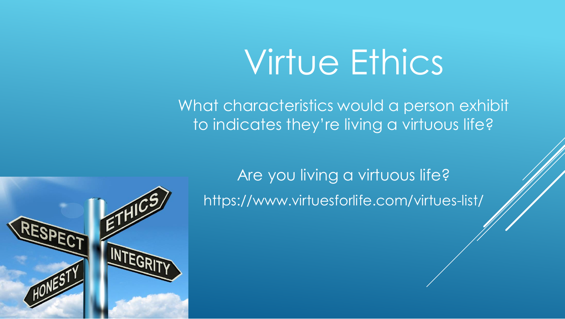# Virtue Ethics

What characteristics would a person exhibit to indicates they're living a virtuous life?

Are you living a virtuous life? https://www.virtuesforlife.com/virtues-list/

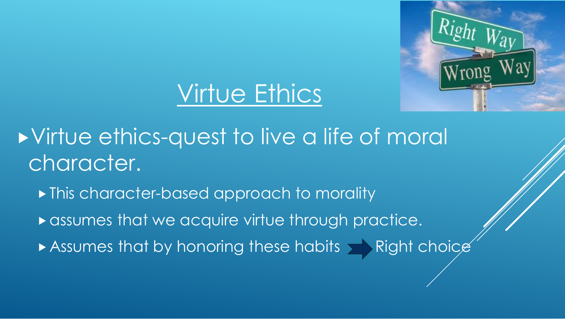

### Virtue Ethics

Virtue ethics-quest to live a life of moral character.

- $\triangleright$  This character-based approach to morality
- **De assumes that we acquire virtue through practice.**
- $\blacktriangleright$  Assumes that by honoring these habits  $\blacktriangleright$  Right choice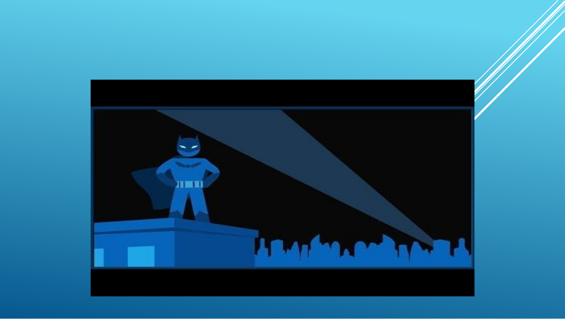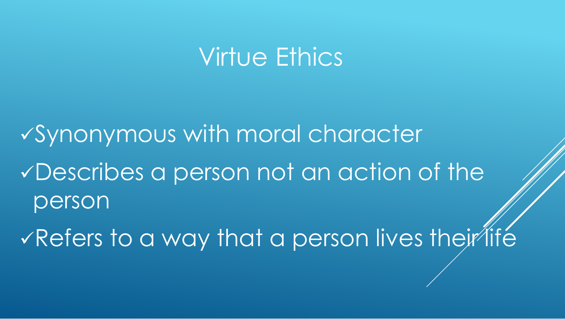#### Virtue Ethics

✓Synonymous with moral character ✓Describes a person not an action of the person

√Refers to a way that a person lives their<sup>⁄</sup>life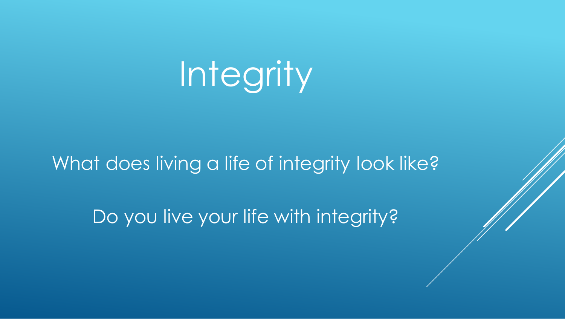

#### What does living a life of integrity look like?

Do you live your life with integrity?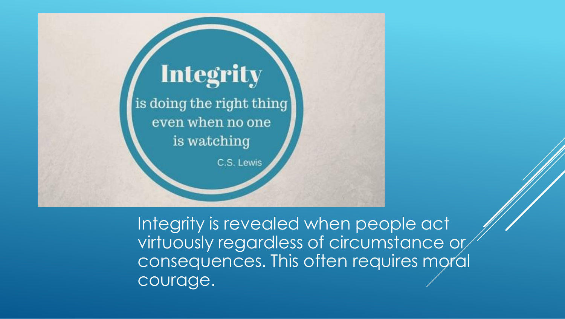#### **Integrity** is doing the right thing even when no one

is watching

C.S. Lewis

Integrity is revealed when people act virtuously regardless of circumstance or consequences. This often requires moral courage.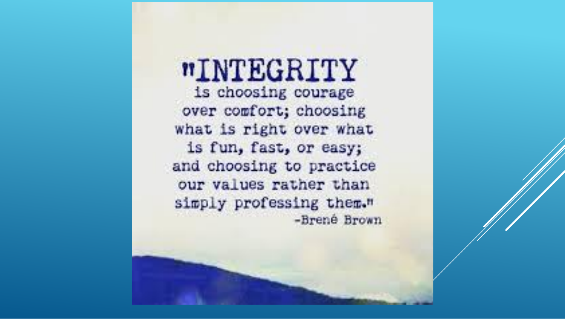### "INTEGRITY

is choosing courage over comfort; choosing what is right over what is fun, fast, or easy; and choosing to practice our values rather than simply professing them." -Brené Brown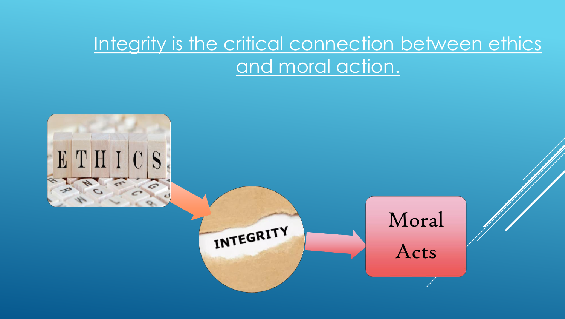#### Integrity is the critical connection between ethics and moral action.

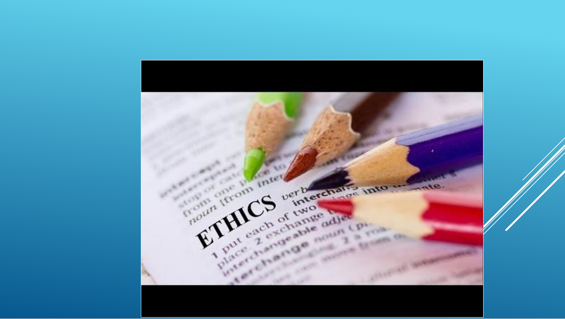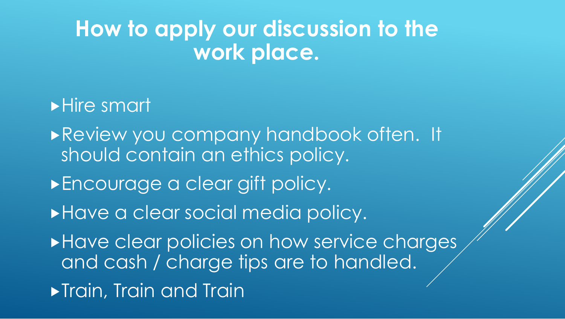#### **How to apply our discussion to the work place.**

- **Hire smart**
- Review you company handbook often. It should contain an ethics policy.
- Encourage a clear gift policy.
- Have a clear social media policy.
- Have clear policies on how service charges and cash / charge tips are to handled.
- **Firain, Train and Train**